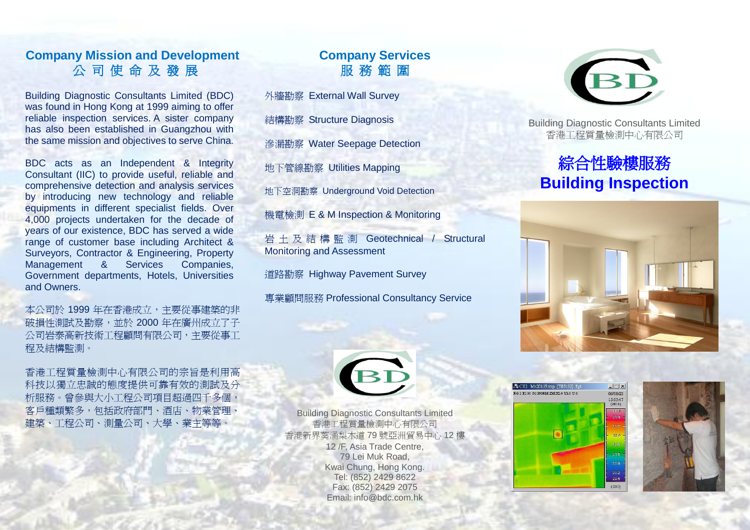### **Company Mission and Development**  公 司 使 命 及 發 展

Building Diagnostic Consultants Limited (BDC) was found in Hong Kong at 1999 aiming to offer reliable inspection services. A sister company has also been established in Guangzhou with the same mission and objectives to serve China.

BDC acts as an Independent & Integrity Consultant (IIC) to provide useful, reliable and comprehensive detection and analysis services by introducing new technology and reliable equipments in different specialist fields. Over 4,000 projects undertaken for the decade of years of our existence, BDC has served a wide range of customer base including Architect & Surveyors, Contractor & Engineering, Property Management & Services Companies, Government departments, Hotels, Universities and Owners.

本公司於 1999 年在香港成立,主要從事建築的非 破損性測試及勘察,並於 2000 年在廣州成立了子 公司岩泰高新技術工程顧問有限公司,主要從事工 程及結構監測。

香港工程質量檢測中心有限公司的宗旨是利用高 科技以獨立忠誠的態度提供可靠有效的測試及分 析服務。曾參與大小工程公司項目超過四千多個, 客戶種類繁多,包括政府部門、酒店、物業管理、 建築、工程公司、測量公司、大學、業主等等。

# **Company Services**  服 務 範 圍

[外牆勘察](http://www.bdc.com.hk/product_in_cat_cn.php?cat_id=132) [External Wall Survey](http://www.bdc.com.hk/product_in_cat.php?cat_id=132)

[結構勘察](http://www.bdc.com.hk/product_in_cat_cn.php?cat_id=136) [Structure Diagnosis](http://www.bdc.com.hk/product_in_cat.php?cat_id=136) 

[滲漏勘察](http://www.bdc.com.hk/product_in_cat_cn.php?cat_id=133) [Water Seepage Detection](http://www.bdc.com.hk/product_in_cat.php?cat_id=133) 

[地下管線勘察](http://www.bdc.com.hk/product_in_cat_cn.php?cat_id=135) [Utilities Mapping](http://www.bdc.com.hk/product_in_cat.php?cat_id=135) 

地下空洞勘察 Underground Void Detection

[機電檢測](http://www.bdc.com.hk/product_in_cat_cn.php?cat_id=134) [E & M Inspection & Monitoring](http://www.bdc.com.hk/product_in_cat.php?cat_id=134) 

[岩土及結構監測](http://www.bdc.com.hk/product_in_cat_cn.php?cat_id=158) Geotechnical / Structural Monitoring and Assessment

道路勘察 Highway Pavement Survey

[專業顧問服務](http://www.bdc.com.hk/product_in_cat_cn.php?cat_id=137) [Professional Consultancy Service](http://www.bdc.com.hk/product_in_cat_cn.php?cat_id=137)



Building Diagnostic Consultants Limited 香港工程質量檢測中心有限公司

# 綜合性驗樓服務 **Building Inspection**





Building Diagnostic Consultants Limited 香港工程質量檢測中心有限公司 香港新界葵涌梨木道 79 號亞洲貿易中心 12 樓 12 /F, Asia Trade Centre, 79 Lei Muk Road, Kwai Chung, Hong Kong. Tel: (852) 2429 8622 Fax: (852) 2429 2075 Email: [info@bdc.com.hk](mailto:info@bdc.com.hk)